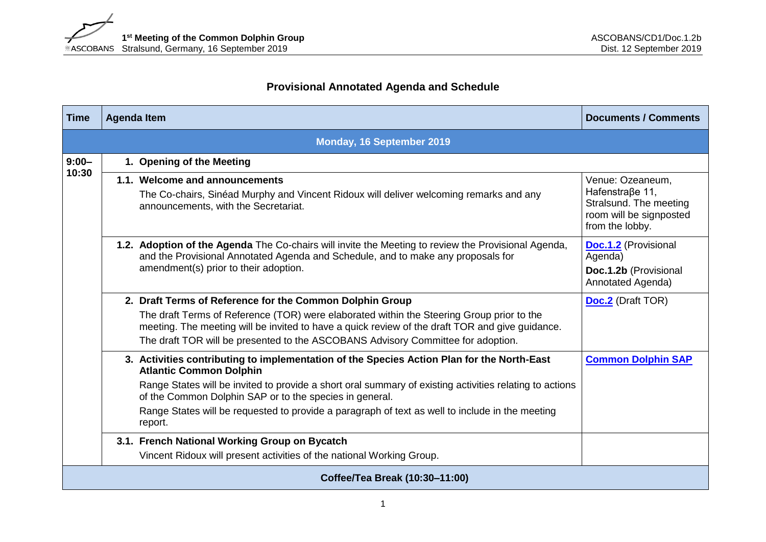## **Provisional Annotated Agenda and Schedule**

| <b>Time</b>                    | <b>Agenda Item</b>                                                                                                                                                                                                               | <b>Documents / Comments</b>                                                                                 |  |  |  |  |
|--------------------------------|----------------------------------------------------------------------------------------------------------------------------------------------------------------------------------------------------------------------------------|-------------------------------------------------------------------------------------------------------------|--|--|--|--|
|                                | Monday, 16 September 2019                                                                                                                                                                                                        |                                                                                                             |  |  |  |  |
| $9:00 -$<br>10:30              | 1. Opening of the Meeting                                                                                                                                                                                                        |                                                                                                             |  |  |  |  |
|                                | 1.1. Welcome and announcements<br>The Co-chairs, Sinéad Murphy and Vincent Ridoux will deliver welcoming remarks and any<br>announcements, with the Secretariat.                                                                 | Venue: Ozeaneum,<br>Hafenstraβe 11,<br>Stralsund. The meeting<br>room will be signposted<br>from the lobby. |  |  |  |  |
|                                | 1.2. Adoption of the Agenda The Co-chairs will invite the Meeting to review the Provisional Agenda,<br>and the Provisional Annotated Agenda and Schedule, and to make any proposals for<br>amendment(s) prior to their adoption. | <b>Doc.1.2</b> (Provisional<br>Agenda)<br>Doc.1.2b (Provisional<br>Annotated Agenda)                        |  |  |  |  |
|                                | 2. Draft Terms of Reference for the Common Dolphin Group                                                                                                                                                                         | <b>Doc.2</b> (Draft TOR)                                                                                    |  |  |  |  |
|                                | The draft Terms of Reference (TOR) were elaborated within the Steering Group prior to the<br>meeting. The meeting will be invited to have a quick review of the draft TOR and give guidance.                                     |                                                                                                             |  |  |  |  |
|                                | The draft TOR will be presented to the ASCOBANS Advisory Committee for adoption.                                                                                                                                                 |                                                                                                             |  |  |  |  |
|                                | 3. Activities contributing to implementation of the Species Action Plan for the North-East<br><b>Atlantic Common Dolphin</b>                                                                                                     | <b>Common Dolphin SAP</b>                                                                                   |  |  |  |  |
|                                | Range States will be invited to provide a short oral summary of existing activities relating to actions<br>of the Common Dolphin SAP or to the species in general.                                                               |                                                                                                             |  |  |  |  |
|                                | Range States will be requested to provide a paragraph of text as well to include in the meeting<br>report.                                                                                                                       |                                                                                                             |  |  |  |  |
|                                | 3.1. French National Working Group on Bycatch                                                                                                                                                                                    |                                                                                                             |  |  |  |  |
|                                | Vincent Ridoux will present activities of the national Working Group.                                                                                                                                                            |                                                                                                             |  |  |  |  |
| Coffee/Tea Break (10:30-11:00) |                                                                                                                                                                                                                                  |                                                                                                             |  |  |  |  |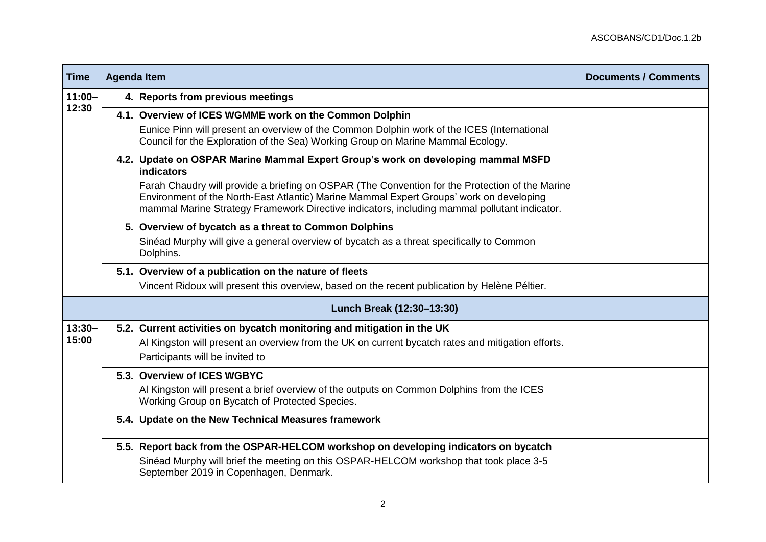| <b>Time</b>               |  | <b>Agenda Item</b>                                                                                                                                                                                                                                                                         | <b>Documents / Comments</b> |  |  |
|---------------------------|--|--------------------------------------------------------------------------------------------------------------------------------------------------------------------------------------------------------------------------------------------------------------------------------------------|-----------------------------|--|--|
| $11:00 -$<br>12:30        |  | 4. Reports from previous meetings                                                                                                                                                                                                                                                          |                             |  |  |
|                           |  | 4.1. Overview of ICES WGMME work on the Common Dolphin                                                                                                                                                                                                                                     |                             |  |  |
|                           |  | Eunice Pinn will present an overview of the Common Dolphin work of the ICES (International<br>Council for the Exploration of the Sea) Working Group on Marine Mammal Ecology.                                                                                                              |                             |  |  |
|                           |  | 4.2. Update on OSPAR Marine Mammal Expert Group's work on developing mammal MSFD<br><b>indicators</b>                                                                                                                                                                                      |                             |  |  |
|                           |  | Farah Chaudry will provide a briefing on OSPAR (The Convention for the Protection of the Marine<br>Environment of the North-East Atlantic) Marine Mammal Expert Groups' work on developing<br>mammal Marine Strategy Framework Directive indicators, including mammal pollutant indicator. |                             |  |  |
|                           |  | 5. Overview of bycatch as a threat to Common Dolphins                                                                                                                                                                                                                                      |                             |  |  |
|                           |  | Sinéad Murphy will give a general overview of bycatch as a threat specifically to Common<br>Dolphins.                                                                                                                                                                                      |                             |  |  |
|                           |  | 5.1. Overview of a publication on the nature of fleets                                                                                                                                                                                                                                     |                             |  |  |
|                           |  | Vincent Ridoux will present this overview, based on the recent publication by Helène Péltier.                                                                                                                                                                                              |                             |  |  |
| Lunch Break (12:30-13:30) |  |                                                                                                                                                                                                                                                                                            |                             |  |  |
| $13:30 -$<br>15:00        |  | 5.2. Current activities on bycatch monitoring and mitigation in the UK                                                                                                                                                                                                                     |                             |  |  |
|                           |  | Al Kingston will present an overview from the UK on current bycatch rates and mitigation efforts.<br>Participants will be invited to                                                                                                                                                       |                             |  |  |
|                           |  | 5.3. Overview of ICES WGBYC                                                                                                                                                                                                                                                                |                             |  |  |
|                           |  | Al Kingston will present a brief overview of the outputs on Common Dolphins from the ICES<br>Working Group on Bycatch of Protected Species.                                                                                                                                                |                             |  |  |
|                           |  | 5.4. Update on the New Technical Measures framework                                                                                                                                                                                                                                        |                             |  |  |
|                           |  | 5.5. Report back from the OSPAR-HELCOM workshop on developing indicators on bycatch                                                                                                                                                                                                        |                             |  |  |
|                           |  | Sinéad Murphy will brief the meeting on this OSPAR-HELCOM workshop that took place 3-5<br>September 2019 in Copenhagen, Denmark.                                                                                                                                                           |                             |  |  |